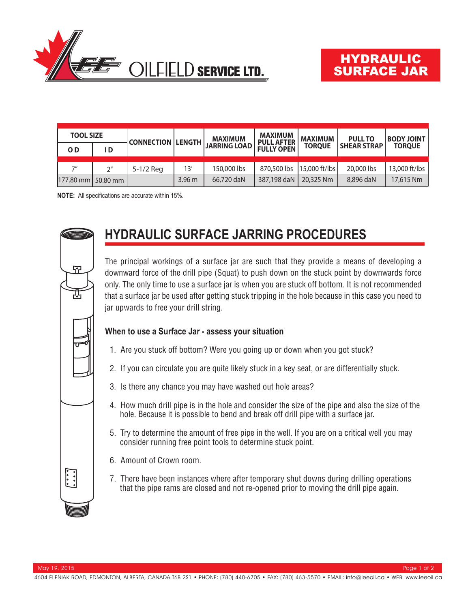

| <b>TOOL SIZE</b>   |                | <b>CONNECTION LENGTH</b> |                   | <b>MAXIMUM</b>      | <b>MAXIMUM</b><br><b>PULL AFTER</b> | <b>MAXIMUM</b> | <b>PULL TO</b>     | <b>BODY JOINT</b> |
|--------------------|----------------|--------------------------|-------------------|---------------------|-------------------------------------|----------------|--------------------|-------------------|
| O <sub>D</sub>     | I D            |                          |                   | <b>JARRING LOAD</b> | <b>FULLY OPEN</b>                   | <b>TORQUE</b>  | <b>SHEAR STRAP</b> | <b>TORQUE</b>     |
| 7''                | 2 <sup>n</sup> | 5-1/2 Reg                | 13'               | 150,000 lbs         | 870,500 lbs 15,000 ft/lbs           |                | 20,000 lbs         | 13,000 ft/lbs     |
| 177.80 mm 50.80 mm |                |                          | 3.96 <sub>m</sub> | 66,720 daN          | 387,198 daN                         | 20,325 Nm      | 8,896 daN          | 17,615 Nm         |

**NOTE:** All specifications are accurate within 15%.



The principal workings of a surface jar are such that they provide a means of developing a downward force of the drill pipe (Squat) to push down on the stuck point by downwards force only. The only time to use a surface jar is when you are stuck off bottom. It is not recommended that a surface jar be used after getting stuck tripping in the hole because in this case you need to jar upwards to free your drill string.

## **When to use a Surface Jar - assess your situation**

- 1. Are you stuck off bottom? Were you going up or down when you got stuck?
- 2. If you can circulate you are quite likely stuck in a key seat, or are differentially stuck.
- 3. Is there any chance you may have washed out hole areas?
- 4. How much drill pipe is in the hole and consider the size of the pipe and also the size of the hole. Because it is possible to bend and break off drill pipe with a surface jar.
- 5. Try to determine the amount of free pipe in the well. If you are on a critical well you may consider running free point tools to determine stuck point.
- 6. Amount of Crown room.
- 7. There have been instances where after temporary shut downs during drilling operations that the pipe rams are closed and not re-opened prior to moving the drill pipe again.



모

髙